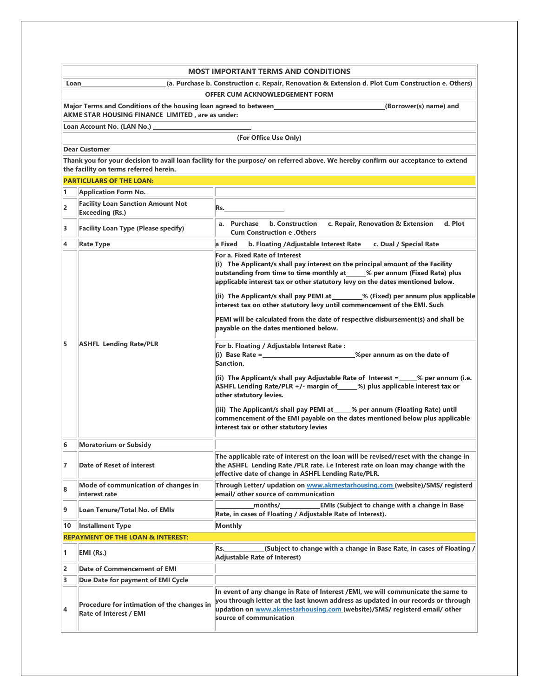| <b>MOST IMPORTANT TERMS AND CONDITIONS</b>                                                                        |                                                                                |                                                                                                                                                                                                                                                                                                                                                                                                                                                                                                                                                                                                                                                                                                                                                                                                                                                                                                                                                                                                                                                                                                                                                                                                                                                                                                                                                          |  |  |  |  |
|-------------------------------------------------------------------------------------------------------------------|--------------------------------------------------------------------------------|----------------------------------------------------------------------------------------------------------------------------------------------------------------------------------------------------------------------------------------------------------------------------------------------------------------------------------------------------------------------------------------------------------------------------------------------------------------------------------------------------------------------------------------------------------------------------------------------------------------------------------------------------------------------------------------------------------------------------------------------------------------------------------------------------------------------------------------------------------------------------------------------------------------------------------------------------------------------------------------------------------------------------------------------------------------------------------------------------------------------------------------------------------------------------------------------------------------------------------------------------------------------------------------------------------------------------------------------------------|--|--|--|--|
| Loan                                                                                                              |                                                                                | (a. Purchase b. Construction c. Repair, Renovation & Extension d. Plot Cum Construction e. Others)                                                                                                                                                                                                                                                                                                                                                                                                                                                                                                                                                                                                                                                                                                                                                                                                                                                                                                                                                                                                                                                                                                                                                                                                                                                       |  |  |  |  |
| <b>OFFER CUM ACKNOWLEDGEMENT FORM</b>                                                                             |                                                                                |                                                                                                                                                                                                                                                                                                                                                                                                                                                                                                                                                                                                                                                                                                                                                                                                                                                                                                                                                                                                                                                                                                                                                                                                                                                                                                                                                          |  |  |  |  |
| Major Terms and Conditions of the housing loan agreed to between_______________________<br>(Borrower(s) name) and |                                                                                |                                                                                                                                                                                                                                                                                                                                                                                                                                                                                                                                                                                                                                                                                                                                                                                                                                                                                                                                                                                                                                                                                                                                                                                                                                                                                                                                                          |  |  |  |  |
|                                                                                                                   | AKME STAR HOUSING FINANCE LIMITED, are as under:<br>Loan Account No. (LAN No.) |                                                                                                                                                                                                                                                                                                                                                                                                                                                                                                                                                                                                                                                                                                                                                                                                                                                                                                                                                                                                                                                                                                                                                                                                                                                                                                                                                          |  |  |  |  |
|                                                                                                                   |                                                                                | (For Office Use Only)                                                                                                                                                                                                                                                                                                                                                                                                                                                                                                                                                                                                                                                                                                                                                                                                                                                                                                                                                                                                                                                                                                                                                                                                                                                                                                                                    |  |  |  |  |
|                                                                                                                   | <b>Dear Customer</b>                                                           |                                                                                                                                                                                                                                                                                                                                                                                                                                                                                                                                                                                                                                                                                                                                                                                                                                                                                                                                                                                                                                                                                                                                                                                                                                                                                                                                                          |  |  |  |  |
|                                                                                                                   | the facility on terms referred herein.                                         | Thank you for your decision to avail loan facility for the purpose/ on referred above. We hereby confirm our acceptance to extend                                                                                                                                                                                                                                                                                                                                                                                                                                                                                                                                                                                                                                                                                                                                                                                                                                                                                                                                                                                                                                                                                                                                                                                                                        |  |  |  |  |
|                                                                                                                   | <b>PARTICULARS OF THE LOAN:</b>                                                |                                                                                                                                                                                                                                                                                                                                                                                                                                                                                                                                                                                                                                                                                                                                                                                                                                                                                                                                                                                                                                                                                                                                                                                                                                                                                                                                                          |  |  |  |  |
| 1                                                                                                                 | <b>Application Form No.</b>                                                    |                                                                                                                                                                                                                                                                                                                                                                                                                                                                                                                                                                                                                                                                                                                                                                                                                                                                                                                                                                                                                                                                                                                                                                                                                                                                                                                                                          |  |  |  |  |
| 2                                                                                                                 | <b>Facility Loan Sanction Amount Not</b><br><b>Exceeding (Rs.)</b>             | Rs.                                                                                                                                                                                                                                                                                                                                                                                                                                                                                                                                                                                                                                                                                                                                                                                                                                                                                                                                                                                                                                                                                                                                                                                                                                                                                                                                                      |  |  |  |  |
| 3                                                                                                                 | <b>Facility Loan Type (Please specify)</b>                                     | a. Purchase b. Construction<br>c. Repair, Renovation & Extension<br>d. Plot<br><b>Cum Construction e . Others</b>                                                                                                                                                                                                                                                                                                                                                                                                                                                                                                                                                                                                                                                                                                                                                                                                                                                                                                                                                                                                                                                                                                                                                                                                                                        |  |  |  |  |
| 4                                                                                                                 | <b>Rate Type</b>                                                               | a Fixed<br>b. Floating /Adjustable Interest Rate<br>c. Dual / Special Rate                                                                                                                                                                                                                                                                                                                                                                                                                                                                                                                                                                                                                                                                                                                                                                                                                                                                                                                                                                                                                                                                                                                                                                                                                                                                               |  |  |  |  |
| 5                                                                                                                 | <b>ASHFL Lending Rate/PLR</b>                                                  | For a. Fixed Rate of Interest<br>(i) The Applicant/s shall pay interest on the principal amount of the Facility<br>outstanding from time to time monthly at _____% per annum (Fixed Rate) plus<br>applicable interest tax or other statutory levy on the dates mentioned below.<br>(ii) The Applicant/s shall pay PEMI at ________% (Fixed) per annum plus applicable<br>interest tax on other statutory levy until commencement of the EMI. Such<br>PEMI will be calculated from the date of respective disbursement(s) and shall be<br>payable on the dates mentioned below.<br>For b. Floating / Adjustable Interest Rate :<br>(i) Base Rate = $\frac{1}{2}$ = $\frac{1}{2}$ = $\frac{1}{2}$ = $\frac{1}{2}$ = $\frac{1}{2}$ = $\frac{1}{2}$ = $\frac{1}{2}$ = $\frac{1}{2}$ = $\frac{1}{2}$ = $\frac{1}{2}$ = $\frac{1}{2}$ = $\frac{1}{2}$ = $\frac{1}{2}$ = $\frac{1}{2}$ = $\frac{1}{2}$ = $\frac{1}{2}$ = $\frac{1}{2}$ =<br>Sanction.<br>(ii) The Applicant/s shall pay Adjustable Rate of Interest = 6 % per annum (i.e.<br>ASHFL Lending Rate/PLR +/- margin of _____%) plus applicable interest tax or<br>other statutory levies.<br>(iii) The Applicant/s shall pay PEMI at ____% per annum (Floating Rate) until<br>commencement of the EMI payable on the dates mentioned below plus applicable<br>interest tax or other statutory levies |  |  |  |  |
| 6                                                                                                                 | <b>Moratorium or Subsidy</b>                                                   |                                                                                                                                                                                                                                                                                                                                                                                                                                                                                                                                                                                                                                                                                                                                                                                                                                                                                                                                                                                                                                                                                                                                                                                                                                                                                                                                                          |  |  |  |  |
| 7                                                                                                                 | <b>Date of Reset of interest</b>                                               | The applicable rate of interest on the loan will be revised/reset with the change in<br>the ASHFL Lending Rate /PLR rate. i.e Interest rate on loan may change with the<br>effective date of change in ASHFL Lending Rate/PLR.                                                                                                                                                                                                                                                                                                                                                                                                                                                                                                                                                                                                                                                                                                                                                                                                                                                                                                                                                                                                                                                                                                                           |  |  |  |  |
| 8                                                                                                                 | Mode of communication of changes in<br>interest rate                           | Through Letter/ updation on www.akmestarhousing.com (website)/SMS/ registerd<br>email/ other source of communication                                                                                                                                                                                                                                                                                                                                                                                                                                                                                                                                                                                                                                                                                                                                                                                                                                                                                                                                                                                                                                                                                                                                                                                                                                     |  |  |  |  |
| 9                                                                                                                 | <b>Loan Tenure/Total No. of EMIs</b>                                           | <b>EMIs (Subject to change with a change in Base</b><br>months/<br>Rate, in cases of Floating / Adjustable Rate of Interest).                                                                                                                                                                                                                                                                                                                                                                                                                                                                                                                                                                                                                                                                                                                                                                                                                                                                                                                                                                                                                                                                                                                                                                                                                            |  |  |  |  |
| 10                                                                                                                | <b>Installment Type</b>                                                        | <b>Monthly</b>                                                                                                                                                                                                                                                                                                                                                                                                                                                                                                                                                                                                                                                                                                                                                                                                                                                                                                                                                                                                                                                                                                                                                                                                                                                                                                                                           |  |  |  |  |
| <b>REPAYMENT OF THE LOAN &amp; INTEREST:</b>                                                                      |                                                                                |                                                                                                                                                                                                                                                                                                                                                                                                                                                                                                                                                                                                                                                                                                                                                                                                                                                                                                                                                                                                                                                                                                                                                                                                                                                                                                                                                          |  |  |  |  |
| 1                                                                                                                 | EMI (Rs.)                                                                      | (Subject to change with a change in Base Rate, in cases of Floating /<br>Rs.<br><b>Adjustable Rate of Interest)</b>                                                                                                                                                                                                                                                                                                                                                                                                                                                                                                                                                                                                                                                                                                                                                                                                                                                                                                                                                                                                                                                                                                                                                                                                                                      |  |  |  |  |
| 2                                                                                                                 | <b>Date of Commencement of EMI</b>                                             |                                                                                                                                                                                                                                                                                                                                                                                                                                                                                                                                                                                                                                                                                                                                                                                                                                                                                                                                                                                                                                                                                                                                                                                                                                                                                                                                                          |  |  |  |  |
| з                                                                                                                 | Due Date for payment of EMI Cycle                                              |                                                                                                                                                                                                                                                                                                                                                                                                                                                                                                                                                                                                                                                                                                                                                                                                                                                                                                                                                                                                                                                                                                                                                                                                                                                                                                                                                          |  |  |  |  |
| 4                                                                                                                 | Procedure for intimation of the changes in<br>Rate of Interest / EMI           | In event of any change in Rate of Interest /EMI, we will communicate the same to<br>you through letter at the last known address as updated in our records or through<br>updation on www.akmestarhousing.com (website)/SMS/ registerd email/ other<br>source of communication                                                                                                                                                                                                                                                                                                                                                                                                                                                                                                                                                                                                                                                                                                                                                                                                                                                                                                                                                                                                                                                                            |  |  |  |  |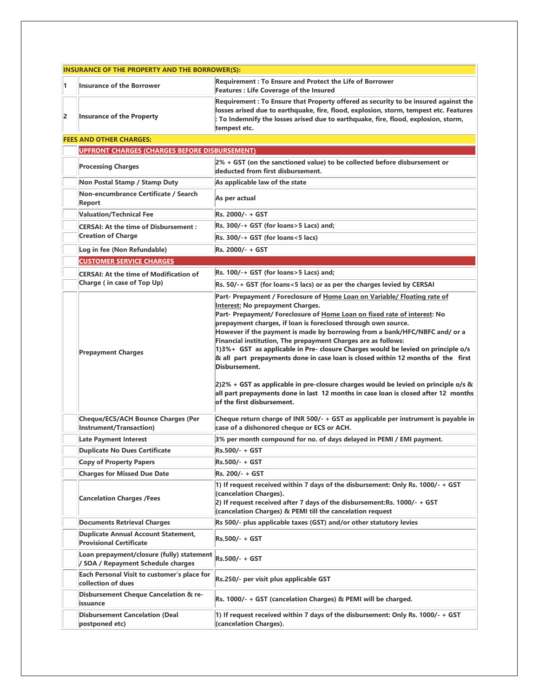|                | <b>INSURANCE OF THE PROPERTY AND THE BORROWER(S):</b>                           |                                                                                                                                                                                                                                                                                                                                                                                                                                                                                                                                                                                                                                                                                                                                                                                                                        |  |  |  |
|----------------|---------------------------------------------------------------------------------|------------------------------------------------------------------------------------------------------------------------------------------------------------------------------------------------------------------------------------------------------------------------------------------------------------------------------------------------------------------------------------------------------------------------------------------------------------------------------------------------------------------------------------------------------------------------------------------------------------------------------------------------------------------------------------------------------------------------------------------------------------------------------------------------------------------------|--|--|--|
| 1              | <b>Insurance of the Borrower</b>                                                | Requirement : To Ensure and Protect the Life of Borrower<br><b>Features : Life Coverage of the Insured</b>                                                                                                                                                                                                                                                                                                                                                                                                                                                                                                                                                                                                                                                                                                             |  |  |  |
| $\overline{2}$ | <b>Insurance of the Property</b>                                                | Requirement : To Ensure that Property offered as security to be insured against the<br>losses arised due to earthquake, fire, flood, explosion, storm, tempest etc. Features<br>: To Indemnify the losses arised due to earthquake, fire, flood, explosion, storm,<br>tempest etc.                                                                                                                                                                                                                                                                                                                                                                                                                                                                                                                                     |  |  |  |
|                | <b>FEES AND OTHER CHARGES:</b>                                                  |                                                                                                                                                                                                                                                                                                                                                                                                                                                                                                                                                                                                                                                                                                                                                                                                                        |  |  |  |
|                | <b>UPFRONT CHARGES (CHARGES BEFORE DISBURSEMENT)</b>                            |                                                                                                                                                                                                                                                                                                                                                                                                                                                                                                                                                                                                                                                                                                                                                                                                                        |  |  |  |
|                | <b>Processing Charges</b>                                                       | $2% + GST$ (on the sanctioned value) to be collected before disbursement or<br>deducted from first disbursement.                                                                                                                                                                                                                                                                                                                                                                                                                                                                                                                                                                                                                                                                                                       |  |  |  |
|                | Non Postal Stamp / Stamp Duty                                                   | As applicable law of the state                                                                                                                                                                                                                                                                                                                                                                                                                                                                                                                                                                                                                                                                                                                                                                                         |  |  |  |
|                | Non-encumbrance Certificate / Search<br>Report                                  | As per actual                                                                                                                                                                                                                                                                                                                                                                                                                                                                                                                                                                                                                                                                                                                                                                                                          |  |  |  |
|                | <b>Valuation/Technical Fee</b>                                                  | Rs. 2000/- + GST                                                                                                                                                                                                                                                                                                                                                                                                                                                                                                                                                                                                                                                                                                                                                                                                       |  |  |  |
|                | <b>CERSAI: At the time of Disbursement:</b>                                     | Rs. 300/-+ GST (for loans>5 Lacs) and;                                                                                                                                                                                                                                                                                                                                                                                                                                                                                                                                                                                                                                                                                                                                                                                 |  |  |  |
|                | <b>Creation of Charge</b>                                                       | Rs. 300/-+ GST (for loans<5 lacs)                                                                                                                                                                                                                                                                                                                                                                                                                                                                                                                                                                                                                                                                                                                                                                                      |  |  |  |
|                | Log in fee (Non Refundable)                                                     | Rs. 2000/- + GST                                                                                                                                                                                                                                                                                                                                                                                                                                                                                                                                                                                                                                                                                                                                                                                                       |  |  |  |
|                | <b>CUSTOMER SERVICE CHARGES</b>                                                 |                                                                                                                                                                                                                                                                                                                                                                                                                                                                                                                                                                                                                                                                                                                                                                                                                        |  |  |  |
|                | <b>CERSAI: At the time of Modification of</b>                                   | Rs. 100/-+ GST (for loans>5 Lacs) and;                                                                                                                                                                                                                                                                                                                                                                                                                                                                                                                                                                                                                                                                                                                                                                                 |  |  |  |
|                | Charge (in case of Top Up)                                                      | Rs. 50/-+ GST (for loans<5 lacs) or as per the charges levied by CERSAI                                                                                                                                                                                                                                                                                                                                                                                                                                                                                                                                                                                                                                                                                                                                                |  |  |  |
|                | <b>Prepayment Charges</b>                                                       | Part- Prepayment / Foreclosure of Home Loan on Variable/ Floating rate of<br><b>Interest: No prepayment Charges.</b><br>Part- Prepayment/ Foreclosure of Home Loan on fixed rate of interest: No<br>prepayment charges, if loan is foreclosed through own source.<br>However if the payment is made by borrowing from a bank/HFC/NBFC and/ or a<br>Financial institution, The prepayment Charges are as follows:<br>1)3%+ GST as applicable in Pre- closure Charges would be levied on principle o/s<br>& all part prepayments done in case loan is closed within 12 months of the first<br>Disbursement.<br>$ 2)2%$ + GST as applicable in pre-closure charges would be levied on principle o/s &<br>all part prepayments done in last 12 months in case loan is closed after 12 months<br>of the first disbursement. |  |  |  |
|                | <b>Cheque/ECS/ACH Bounce Charges (Per</b><br>Instrument/Transaction)            | Cheque return charge of INR 500/- + GST as applicable per instrument is payable in<br>case of a dishonored cheque or ECS or ACH.                                                                                                                                                                                                                                                                                                                                                                                                                                                                                                                                                                                                                                                                                       |  |  |  |
|                | <b>Late Payment Interest</b>                                                    | 3% per month compound for no. of days delayed in PEMI / EMI payment.                                                                                                                                                                                                                                                                                                                                                                                                                                                                                                                                                                                                                                                                                                                                                   |  |  |  |
|                | <b>Duplicate No Dues Certificate</b>                                            | Rs.500/- + GST                                                                                                                                                                                                                                                                                                                                                                                                                                                                                                                                                                                                                                                                                                                                                                                                         |  |  |  |
|                | <b>Copy of Property Papers</b>                                                  | Rs.500/- + GST                                                                                                                                                                                                                                                                                                                                                                                                                                                                                                                                                                                                                                                                                                                                                                                                         |  |  |  |
|                | <b>Charges for Missed Due Date</b>                                              | Rs. 200/- + GST                                                                                                                                                                                                                                                                                                                                                                                                                                                                                                                                                                                                                                                                                                                                                                                                        |  |  |  |
|                | <b>Cancelation Charges /Fees</b>                                                | 1) If request received within 7 days of the disbursement: Only Rs. 1000/- + GST<br>(cancelation Charges).<br>2) If request received after 7 days of the disbursement: Rs. 1000/- + GST<br>(cancelation Charges) & PEMI till the cancelation request                                                                                                                                                                                                                                                                                                                                                                                                                                                                                                                                                                    |  |  |  |
|                | <b>Documents Retrieval Charges</b>                                              | Rs 500/- plus applicable taxes (GST) and/or other statutory levies                                                                                                                                                                                                                                                                                                                                                                                                                                                                                                                                                                                                                                                                                                                                                     |  |  |  |
|                | <b>Duplicate Annual Account Statement,</b><br><b>Provisional Certificate</b>    | Rs.500/- + GST                                                                                                                                                                                                                                                                                                                                                                                                                                                                                                                                                                                                                                                                                                                                                                                                         |  |  |  |
|                | Loan prepayment/closure (fully) statement<br>/ SOA / Repayment Schedule charges | Rs.500/- + GST                                                                                                                                                                                                                                                                                                                                                                                                                                                                                                                                                                                                                                                                                                                                                                                                         |  |  |  |
|                | Each Personal Visit to customer's place for<br>collection of dues               | Rs.250/- per visit plus applicable GST                                                                                                                                                                                                                                                                                                                                                                                                                                                                                                                                                                                                                                                                                                                                                                                 |  |  |  |
|                | Disbursement Cheque Cancelation & re-<br>issuance                               | Rs. 1000/- + GST (cancelation Charges) & PEMI will be charged.                                                                                                                                                                                                                                                                                                                                                                                                                                                                                                                                                                                                                                                                                                                                                         |  |  |  |
|                | <b>Disbursement Cancelation (Deal</b><br>postponed etc)                         | 1) If request received within 7 days of the disbursement: Only Rs. 1000/- + GST<br>(cancelation Charges).                                                                                                                                                                                                                                                                                                                                                                                                                                                                                                                                                                                                                                                                                                              |  |  |  |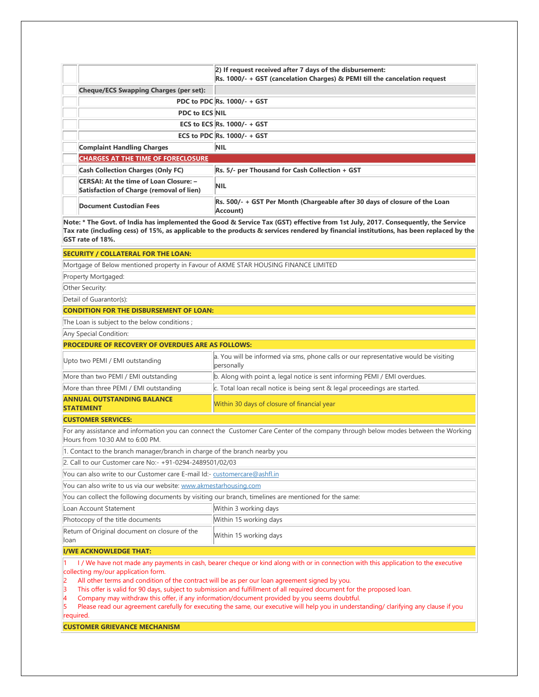|                                                                                    | 2) If request received after 7 days of the disbursement:<br>Rs. 1000/- + GST (cancelation Charges) & PEMI till the cancelation request |
|------------------------------------------------------------------------------------|----------------------------------------------------------------------------------------------------------------------------------------|
| <b>Cheque/ECS Swapping Charges (per set):</b>                                      |                                                                                                                                        |
|                                                                                    | PDC to PDC Rs. 1000/- + GST                                                                                                            |
| <b>PDC to ECS NIL</b>                                                              |                                                                                                                                        |
|                                                                                    | ECS to ECS $\vert$ Rs. 1000/- + GST                                                                                                    |
|                                                                                    | ECS to PDC $\vert$ Rs. 1000/- + GST                                                                                                    |
| <b>Complaint Handling Charges</b>                                                  | <b>NIL</b>                                                                                                                             |
| <b>CHARGES AT THE TIME OF FORECLOSURE</b>                                          |                                                                                                                                        |
| <b>Cash Collection Charges (Only FC)</b>                                           | Rs. 5/- per Thousand for Cash Collection + GST                                                                                         |
| CERSAI: At the time of Loan Closure: -<br>Satisfaction of Charge (removal of lien) | <b>NIL</b>                                                                                                                             |
| Document Custodian Fees                                                            | Rs. 500/- + GST Per Month (Chargeable after 30 days of closure of the Loan<br>Account)                                                 |

**Note: \* The Govt. of India has implemented the Good & Service Tax (GST) effective from 1st July, 2017. Consequently, the Service Tax rate (including cess) of 15%, as applicable to the products & services rendered by financial institutions, has been replaced by the GST rate of 18%.**

#### **SECURITY / COLLATERAL FOR THE LOAN:**

Mortgage of Below mentioned property in Favour of AKME STAR HOUSING FINANCE LIMITED

Property Mortgaged:

Other Security:

Detail of Guarantor(s):

# **CONDITION FOR THE DISBURSEMENT OF LOAN:**

The Loan is subject to the below conditions ;

Any Special Condition:

# **PROCEDURE OF RECOVERY OF OVERDUES ARE AS FOLLOWS:**

| Upto two PEMI / EMI outstanding                       | a. You will be informed via sms, phone calls or our representative would be visiting<br>personally |
|-------------------------------------------------------|----------------------------------------------------------------------------------------------------|
| More than two PEMI / EMI outstanding                  | b. Along with point a, legal notice is sent informing PEMI / EMI overdues.                         |
| More than three PEMI / EMI outstanding                | c. Total loan recall notice is being sent & legal proceedings are started.                         |
| <b>ANNUAL OUTSTANDING BALANCE</b><br><b>STATEMENT</b> | Within 30 days of closure of financial year                                                        |

**CUSTOMER SERVICES:**

For any assistance and information you can connect the Customer Care Center of the company through below modes between the Working Hours from 10:30 AM to 6:00 PM.

1. Contact to the branch manager/branch in charge of the branch nearby you

2. Call to our Customer care No:- +91-0294-2489501/02/03

You can also write to our Customer care E-mail Id:- [customercare@ashfl.in](mailto:customercare@ashfl.in)

You can also write to us via our website: [www.akmestarhousing.com](http://www.akmestarhousing.com/)

You can collect the following documents by visiting our branch, timelines are mentioned for the same:

| Loan Account Statement           | Within 3 working days  |
|----------------------------------|------------------------|
| Photocopy of the title documents | Within 15 working days |
|                                  |                        |

Return of Original document on closure of the Return of Original document on closure of the Mithin 15 working days

### **I/WE ACKNOWLEDGE THAT:**

1 I / We have not made any payments in cash, bearer cheque or kind along with or in connection with this application to the executive collecting my/our application form.

2 All other terms and condition of the contract will be as per our loan agreement signed by you.

3 This offer is valid for 90 days, subject to submission and fulfillment of all required document for the proposed loan.

4 Company may withdraw this offer, if any information/document provided by you seems doubtful.

5 Please read our agreement carefully for executing the same, our executive will help you in understanding/ clarifying any clause if you required.

**CUSTOMER GRIEVANCE MECHANISM**